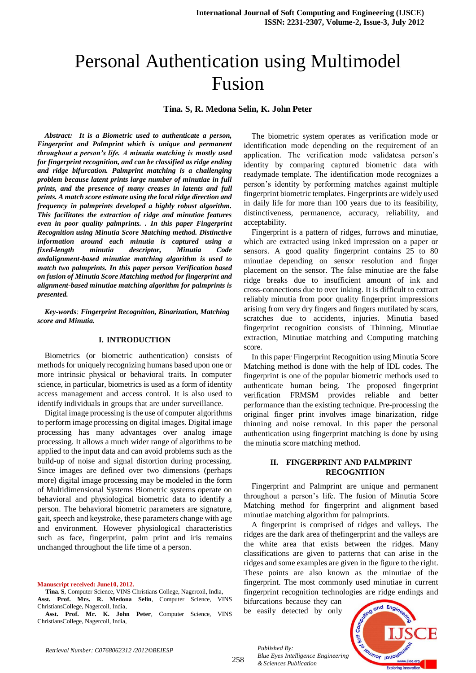# Personal Authentication using Multimodel Fusion

## **Tina. S, R. Medona Selin, K. John Peter**

*Abstract: It is a Biometric used to authenticate a person, Fingerprint and Palmprint which is unique and permanent throughout a person's life. A minutia matching is mostly used for fingerprint recognition, and can be classified as ridge ending and ridge bifurcation. Palmprint matching is a challenging problem because latent prints large number of minutiae in full prints, and the presence of many creases in latents and full prints. A match score estimate using the local ridge direction and frequency in palmprints developed a highly robust algorithm. This facilitates the extraction of ridge and minutiae features even in poor quality palmprints. . In this paper Fingerprint Recognition using Minutia Score Matching method. Distinctive information around each minutia is captured using a fixed-length minutia descriptor, Minutia Code andalignment-based minutiae matching algorithm is used to match two palmprints. In this paper person Verification based on fusion of Minutia Score Matching method for fingerprint and alignment-based minutiae matching algorithm for palmprints is presented.*

*Key-words: Fingerprint Recognition, Binarization, Matching score and Minutia.*

## **I. INTRODUCTION**

Biometrics (or biometric authentication) consists of methods for uniquely recognizing humans based upon one or more intrinsic physical or behavioral traits. In computer science, in particular, biometrics is used as a form of identity access management and access control. It is also used to identify individuals in groups that are under surveillance.

Digital image processing is the use of computer [algorithms](http://en.wikipedia.org/wiki/Algorithm) to perform [image processing](http://en.wikipedia.org/wiki/Image_processing) o[n digital images.](http://en.wikipedia.org/wiki/Digital_image) Digital image processing has many advantages over analog image processing. It allows a much wider range of algorithms to be applied to the input data and can avoid problems such as the build-up of noise and signal distortion during processing. Since images are defined over two dimensions (perhaps more) digital image processing may be modeled in the form of [Multidimensional Systems](http://en.wikipedia.org/wiki/Multidimensional_Systems) Biometric systems operate on behavioral and physiological biometric data to identify a person. The behavioral biometric parameters are signature, gait, speech and keystroke, these parameters change with age and environment. However physiological characteristics such as face, fingerprint, palm print and iris remains unchanged throughout the life time of a person.

**Manuscript received: June10, 2012.**

The biometric system operates as verification mode or identification mode depending on the requirement of an application. The verification mode validatesa person's identity by comparing captured biometric data with readymade template. The identification mode recognizes a person's identity by performing matches against multiple fingerprint biometric templates. Fingerprints are widely used in daily life for more than 100 years due to its feasibility, distinctiveness, permanence, accuracy, reliability, and acceptability.

Fingerprint is a pattern of ridges, furrows and minutiae, which are extracted using inked impression on a paper or sensors. A good quality fingerprint contains 25 to 80 minutiae depending on sensor resolution and finger placement on the sensor. The false minutiae are the false ridge breaks due to insufficient amount of ink and cross-connections due to over inking. It is difficult to extract reliably minutia from poor quality fingerprint impressions arising from very dry fingers and fingers mutilated by scars, scratches due to accidents, injuries. Minutia based fingerprint recognition consists of Thinning, Minutiae extraction, Minutiae matching and Computing matching score.

In this paper Fingerprint Recognition using Minutia Score Matching method is done with the help of IDL codes. The fingerprint is one of the popular biometric methods used to authenticate human being. The proposed fingerprint verification FRMSM provides reliable and better performance than the existing technique. Pre-processing the original finger print involves image binarization, ridge thinning and noise removal. In this paper the personal authentication using fingerprint matching is done by using the minutia score matching method.

## **II. FINGERPRINT AND PALMPRINT RECOGNITION**

Fingerprint and Palmprint are unique and permanent throughout a person's life. The fusion of Minutia Score Matching method for fingerprint and alignment based minutiae matching algorithm for palmprints.

A fingerprint is comprised of ridges and valleys. The ridges are the dark area of thefingerprint and the valleys are the white area that exists between the ridges. Many classifications are given to patterns that can arise in the ridges and some examples are given in the figure to the right. These points are also known as the minutiae of the fingerprint. The most commonly used minutiae in current fingerprint recognition technologies are ridge endings and

bifurcations because they can be easily detected by only

*Published By:*



**Tina. S**, Computer Science, VINS Christians College, Nagercoil, India, **Asst. Prof. Mrs. R. Medona Selin**, Computer Science, VINS ChristiansCollege, Nagercoil, India,

**Asst. Prof. Mr. K. John Peter**, Computer Science, VINS ChristiansCollege, Nagercoil, India,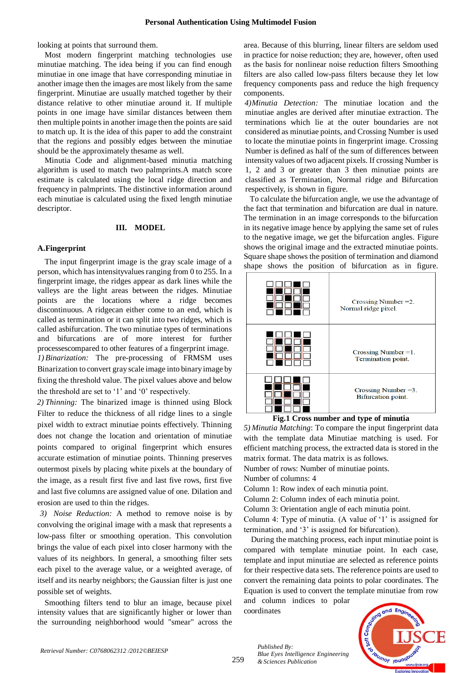looking at points that surround them.

Most modern fingerprint matching technologies use minutiae matching. The idea being if you can find enough minutiae in one image that have corresponding minutiae in another image then the images are most likely from the same fingerprint. Minutiae are usually matched together by their distance relative to other minutiae around it. If multiple points in one image have similar distances between them then multiple points in another image then the points are said to match up. It is the idea of this paper to add the constraint that the regions and possibly edges between the minutiae should be the approximately thesame as well.

Minutia Code and alignment-based minutia matching algorithm is used to match two palmprints.A match score estimate is calculated using the local ridge direction and frequency in palmprints. The distinctive information around each minutiae is calculated using the fixed length minutiae descriptor.

### **III. MODEL**

## **A.Fingerprint**

The input fingerprint image is the gray scale image of a person, which has intensityvalues ranging from 0 to 255. In a fingerprint image, the ridges appear as dark lines while the valleys are the light areas between the ridges. Minutiae points are the locations where a ridge becomes discontinuous. A ridgecan either come to an end, which is called as termination or it can split into two ridges, which is called asbifurcation. The two minutiae types of terminations and bifurcations are of more interest for further processescompared to other features of a fingerprint image. *1) Binarization:* The pre-processing of FRMSM uses Binarization to convert gray scale image into binary image by fixing the threshold value. The pixel values above and below the threshold are set to '1' and '0' respectively.

*2) Thinning:* The binarized image is thinned using Block Filter to reduce the thickness of all ridge lines to a single pixel width to extract minutiae points effectively. Thinning does not change the location and orientation of minutiae points compared to original fingerprint which ensures accurate estimation of minutiae points. Thinning preserves outermost pixels by placing white pixels at the boundary of the image, as a result first five and last five rows, first five and last five columns are assigned value of one. Dilation and erosion are used to thin the ridges.

*3) Noise Reduction:* A method to remove noise is by convolving the original image with a mask that represents a low-pass filter or smoothing operation. This convolution brings the value of each pixel into closer harmony with the values of its neighbors. In general, a smoothing filter sets each pixel to the average value, or a weighted average, of itself and its nearby neighbors; the Gaussian filter is just one possible set of weights.

Smoothing filters tend to blur an image, because pixel intensity values that are significantly higher or lower than the surrounding neighborhood would "smear" across the area. Because of this blurring, linear filters are seldom used in practice for noise reduction; they are, however, often used as the basis for nonlinear noise reduction filters Smoothing filters are also called low-pass filters because they let low frequency components pass and reduce the high frequency components.

*4)Minutia Detection:* The minutiae location and the minutiae angles are derived after minutiae extraction. The terminations which lie at the outer boundaries are not considered as minutiae points, and Crossing Number is used to locate the minutiae points in fingerprint image. Crossing Number is defined as half of the sum of differences between intensity values of two adjacent pixels. If crossing Number is 1, 2 and 3 or greater than 3 then minutiae points are classified as Termination, Normal ridge and Bifurcation respectively, is shown in figure.

To calculate the bifurcation angle, we use the advantage of the fact that termination and bifurcation are dual in nature. The termination in an image corresponds to the bifurcation in its negative image hence by applying the same set of rules to the negative image, we get the bifurcation angles. Figure shows the original image and the extracted minutiae points. Square shape shows the position of termination and diamond shape shows the position of bifurcation as in figure.



**Fig.1 Cross number and type of minutia**

*5) Minutia Matching*: To compare the input fingerprint data with the template data Minutiae matching is used. For efficient matching process, the extracted data is stored in the matrix format. The data matrix is as follows.

Number of rows: Number of minutiae points.

Number of columns: 4

Column 1: Row index of each minutia point.

Column 2: Column index of each minutia point.

Column 3: Orientation angle of each minutia point.

Column 4: Type of minutia. (A value of '1' is assigned for termination, and '3' is assigned for bifurcation).

During the matching process, each input minutiae point is compared with template minutiae point. In each case, template and input minutiae are selected as reference points for their respective data sets. The reference points are used to convert the remaining data points to polar coordinates. The Equation is used to convert the template minutiae from row and column indices to polar

coordinates

*Blue Eyes Intelligence Engineering* 

*Published By:*

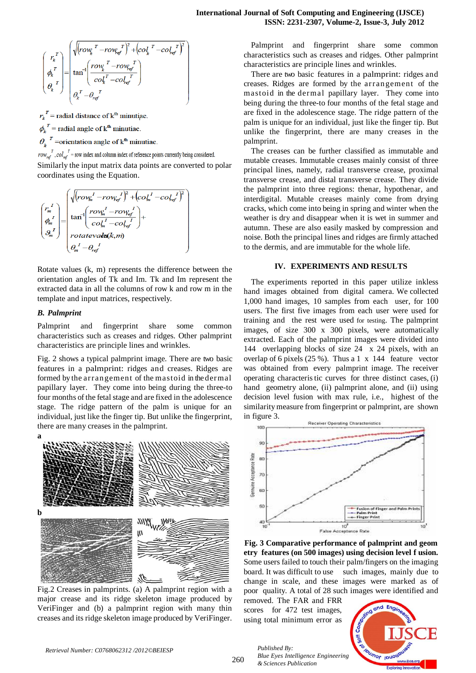$$
\begin{pmatrix}\nr_k^T \\
\phi_k^T\n\end{pmatrix} = \begin{pmatrix}\n\sqrt{rov_k^T - rov_{kg'}^T}^2 + \left[\cot_k^T - \cot_{kg'}^T\right]^2 \\
\tan^{-1}\left(\frac{rov_k^T - rov_{kg'}^T}{\cot_k^T - \cot_{kg'}^T}\right) \\
\theta_k^T\n\end{pmatrix}
$$

 $r_k^T$  = radial distance of  $k^{\text{th}}$  minutiae.

 $\phi_{\mu}^{T}$  = radial angle of k<sup>th</sup> minutiae.

 $\theta_k^T$  =orientation angle of  $k^{\text{th}}$  minutiae.

 $row_{ref}^T$ ,  $col_{ref}^T$  = row index and column index of reference points currently being considered.

Similarly the input matrix data points are converted to polar coordinates using the Equation.

$$
\begin{pmatrix} r_m^I \\ r_m^I \\ \phi_m^I \end{pmatrix} = \begin{pmatrix} \sqrt{(row_m^I - row_{ef}^I)^2 + (col_m^I - col_{ef}^I)^2} \\ \tan^{-1} \left( \frac{row_m^I - row_{ef}^I}{col_m^I - col_{ef}^I} \right) + \\ rotatevake(k, m) \\ o_m^I - o_{ref}^I \end{pmatrix}
$$

Rotate values (k, m) represents the difference between the orientation angles of Tk and Im. Tk and Im represent the extracted data in all the columns of row k and row m in the template and input matrices, respectively.

# *B. Palmprint*

Palmprint and fingerprint share some common characteristics such as creases and ridges. Other palmprint characteristics are principle lines and wrinkles.

Fig. 2 shows a typical palmprint image. There are two basic features in a palmprint: ridges and creases. Ridges are formed by the arrangement of the mastoid in the dermal papillary layer. They come into being during the three-to four months of the fetal stage and are fixed in the adolescence stage. The ridge pattern of the palm is unique for an individual, just like the finger tip. But unlike the fingerprint, there are many creases in the palmprint.



Fig.2 Creases in palmprints. (a) A palmprint region with a major crease and its ridge skeleton image produced by VeriFinger and (b) a palmprint region with many thin creases and its ridge skeleton image produced by VeriFinger.

Palmprint and fingerprint share some common characteristics such as creases and ridges. Other palmprint characteristics are principle lines and wrinkles.

There are two basic features in a palmprint: ridges and creases. Ridges are formed by the arrangement of the mastoid in the dermal papillary layer. They come into being during the three-to four months of the fetal stage and are fixed in the adolescence stage. The ridge pattern of the palm is unique for an individual, just like the finger tip. But unlike the fingerprint, there are many creases in the palmprint.

The creases can be further classified as immutable and mutable creases. Immutable creases mainly consist of three principal lines, namely, radial transverse crease, proximal transverse crease, and distal transverse crease. They divide the palmprint into three regions: thenar, hypothenar, and interdigital. Mutable creases mainly come from drying cracks, which come into being in spring and winter when the weather is dry and disappear when it is wet in summer and autumn. These are also easily masked by compression and noise. Both the principal lines and ridges are firmly attached to the dermis, and are immutable for the whole life.

# **IV. EXPERIMENTS AND RESULTS**

The experiments reported in this paper utilize inkless hand images obtained from digital camera. We collected 1,000 hand images, 10 samples from each user, for 100 users. The first five images from each user were used for training and the rest were used for testing. The palmprint images, of size 300 x 300 pixels, were automatically extracted. Each of the palmprint images were divided into 144 overlapping blocks of size 24 x 24 pixels, with an overlap of 6 pixels (25 %). Thus a 1 x 144 feature vector was obtained from every palmprint image. The receiver operating characteris tic curves for three distinct cases, (i) hand geometry alone, (ii) palmprint alone, and (ii) using decision level fusion with max rule, i.e., highest of the similarity measure from fingerprint or palmprint, are shown in figure 3.



**Fig. 3 Comparative performance of palmprint and geom etry features (on 500 images) using decision level f usion.** Some users failed to touch their palm/fingers on the imaging board. It was difficult to use such images, mainly due to change in scale, and these images were marked as of poor quality. A total of 28 such images were identified and

removed. The FAR and FRR scores for 472 test images. using total minimum error as

*Published By:*

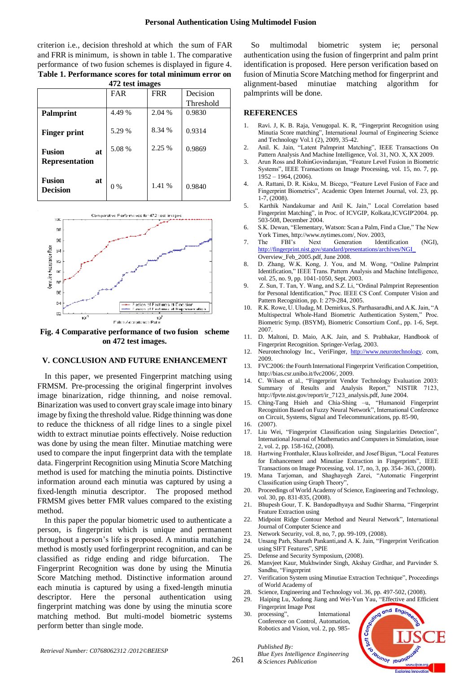### **Personal Authentication Using Multimodel Fusion**

criterion i.e., decision threshold at which the sum of FAR and FRR is minimum, is shown in table 1. The comparative performance of two fusion schemes is displayed in figure 4. **Table 1. Performance scores for total minimum error on 472 test images**

| $472$ test images                      |                    |            |           |
|----------------------------------------|--------------------|------------|-----------|
|                                        | FAR                | <b>FRR</b> | Decision  |
|                                        |                    |            | Threshold |
| <b>Palmprint</b>                       | 4.49 %             | 2.04 %     | 0.9830    |
| Finger print                           | 5.29 %             | 8.34 %     | 0.9314    |
| <b>Fusion</b><br>at                    | 5.08 %             | 2.25 %     | 0.9869    |
| <b>Representation</b>                  |                    |            |           |
| <b>Fusion</b><br>at<br><b>Decision</b> | $\frac{0}{0}$<br>0 | 1.41 %     | 0.9840    |



**on 472 test images.**

#### **V. CONCLUSION AND FUTURE ENHANCEMENT**

In this paper, we presented Fingerprint matching using FRMSM. Pre-processing the original fingerprint involves image binarization, ridge thinning, and noise removal. Binarization was used to convert gray scale image into binary image by fixing the threshold value. Ridge thinning was done to reduce the thickness of all ridge lines to a single pixel width to extract minutiae points effectively. Noise reduction was done by using the mean filter. Minutiae matching were used to compare the input fingerprint data with the template data. Fingerprint Recognition using Minutia Score Matching method is used for matching the minutia points. Distinctive information around each minutia was captured by using a fixed-length minutia descriptor. The proposed method FRMSM gives better FMR values compared to the existing method.

In this paper the popular biometric used to authenticate a person, is fingerprint which is unique and permanent throughout a person's life is proposed. A minutia matching method is mostly used forfingerprint recognition, and can be classified as ridge ending and ridge bifurcation. The Fingerprint Recognition was done by using the Minutia Score Matching method. Distinctive information around each minutia is captured by using a fixed-length minutia descriptor. Here the personal authentication using fingerprint matching was done by using the minutia score matching method. But multi-model biometric systems perform better than single mode.

So multimodal biometric system ie; personal authentication using the fusion of fingerprint and palm print identification is proposed. Here person verification based on fusion of Minutia Score Matching method for fingerprint and alignment-based minutiae matching algorithm for palmprints will be done.

### **REFERENCES**

- 1. Ravi. J, K. B. Raja, Venugopal. K. R, "Fingerprint Recognition using Minutia Score matching", International Journal of Engineering Science and Technology Vol.1 (2), 2009, 35-42.
- 2. Anil. K. Jain, "Latent Palmprint Matching", IEEE Transactions On Pattern Analysis And Machine Intelligence, Vol. 31, NO. X, XX 2009.
- 3. Arun Ross and RohinGovindarajan, "Feature Level Fusion in Biometric Systems", IEEE Transactions on Image Processing, vol. 15, no. 7, pp. 1952 – 1964, (2006).
- 4. A. Rattani, D. R. Kisku, M. Bicego, "Feature Level Fusion of Face and Fingerprint Biometrics", Academic Open Internet Journal, vol. 23, pp. 1-7, (2008).
- 5. Karthik Nandakumar and Anil K. Jain," Local Correlation based Fingerprint Matching", in Proc. of ICVGIP, Kolkata,ICVGIP'2004. pp. 503-508, December 2004.
- 6. S.K. Dewan, "Elementary, Watson: Scan a Palm, Find a Clue," The New York Times, http://www.nytimes.com/, Nov. 2003,
- 7. The FBI's Next Generation Identification (NGI), [http://fingerprint.nist.gov/standard/presentations/archives/NGI\\_](http://fingerprint.nist.gov/standard/presentations/archives/NGI_) Overview\_Feb\_2005.pdf, June 2008.
- 8. D. Zhang, W.K. Kong, J. You, and M. Wong, "Online Palmprint Identification," IEEE Trans. Pattern Analysis and Machine Intelligence, vol. 25, no. 9, pp. 1041-1050, Sept. 2003.
- 9. Z. Sun, T. Tan, Y. Wang, and S.Z. Li, "Ordinal Palmprint Represention for Personal Identification," Proc. IEEE CS Conf. Computer Vision and Pattern Recognition, pp. I: 279-284, 2005.
- 10. R.K. Rowe, U. Uludag, M. Demirkus, S. Parthasaradhi, and A.K. Jain, "A Multispectral Whole-Hand Biometric Authentication System," Proc. Biometric Symp. (BSYM), Biometric Consortium Conf., pp. 1-6, Sept. 2007.
- 11. D. Maltoni, D. Maio, A.K. Jain, and S. Prabhakar, Handbook of Fingerprint Recognition. Springer-Verlag, 2003.
- 12. Neurotechnology Inc., VeriFinger, [http://www.neurotechnology.](http://www.neurotechnology/)com, 2009.
- 13. FVC2006: the Fourth International Fingerprint Verification Competition, http://bias.csr.unibo.it/fvc2006/, 2009.
- 14. C. Wilson et al., "Fingerprint Vendor Technology Evaluation 2003: Summary of Results and Analysis Report," NISTIR 7123, http://fpvte.nist.gov/report/ir\_7123\_analysis.pdf, June 2004.
- 15. Ching-Tang Hsieh and Chia-Shing –u, "Humanoid Fingerprint Recognition Based on Fuzzy Neural Network", International Conference on Circuit, Systems, Signal and Telecommunications, pp. 85-90,
- 16. (2007).
- 17. Liu Wei, "Fingerprint Classification using Singularities Detection", International Journal of Mathematics and Computers in Simulation, issue 2, vol. 2, pp. 158-162, (2008).
- 18. Hartwing Fronthaler, Klaus kollreider, and Josef Bigun, "Local Features for Enhancement and Minutiae Extraction in Fingerprints", IEEE Transactions on Image Processing, vol. 17, no, 3, pp. 354- 363, (2008).
- 19. Mana Tarjoman, and Shaghayegh Zarei, "Automatic Fingerprint Classification using Graph Theory",
- 20. Proceedings of World Academy of Science, Engineering and Technology, vol. 30, pp. 831-835, (2008).
- 21. Bhupesh Gour, T. K. Bandopadhyaya and Sudhir Sharma, "Fingerprint Feature Extraction using
- 22. Midpoint Ridge Contour Method and Neural Network", International Journal of Computer Science and
- 23. Network Security, vol. 8, no, 7, pp. 99-109, (2008).
- 24. Unsang Parh, Sharath Pankanti,and A. K. Jain, "Fingerprint Verification using SIFT Features", SPIE
- 25. Defense and Security Symposium, (2008).
- 26. Manvjeet Kaur, Mukhwinder Singh, Akshay Girdhar, and Parvinder S. Sandhu, "Fingerprint
- 27. Verification System using Minutiae Extraction Technique", Proceedings of World Academy of
- 28. Science, Engineering and Technology vol. 36, pp. 497-502, (2008).
- 29. Haiping Lu, Xudong Jiang and Wei-Yun Yau, "Effective and Efficient Fingerprint Image Post
- 30. processing", International Conference on Control, Automation, Robotics and Vision, vol. 2, pp. 985-

*Blue Eyes Intelligence Engineering* 

*Published By:*